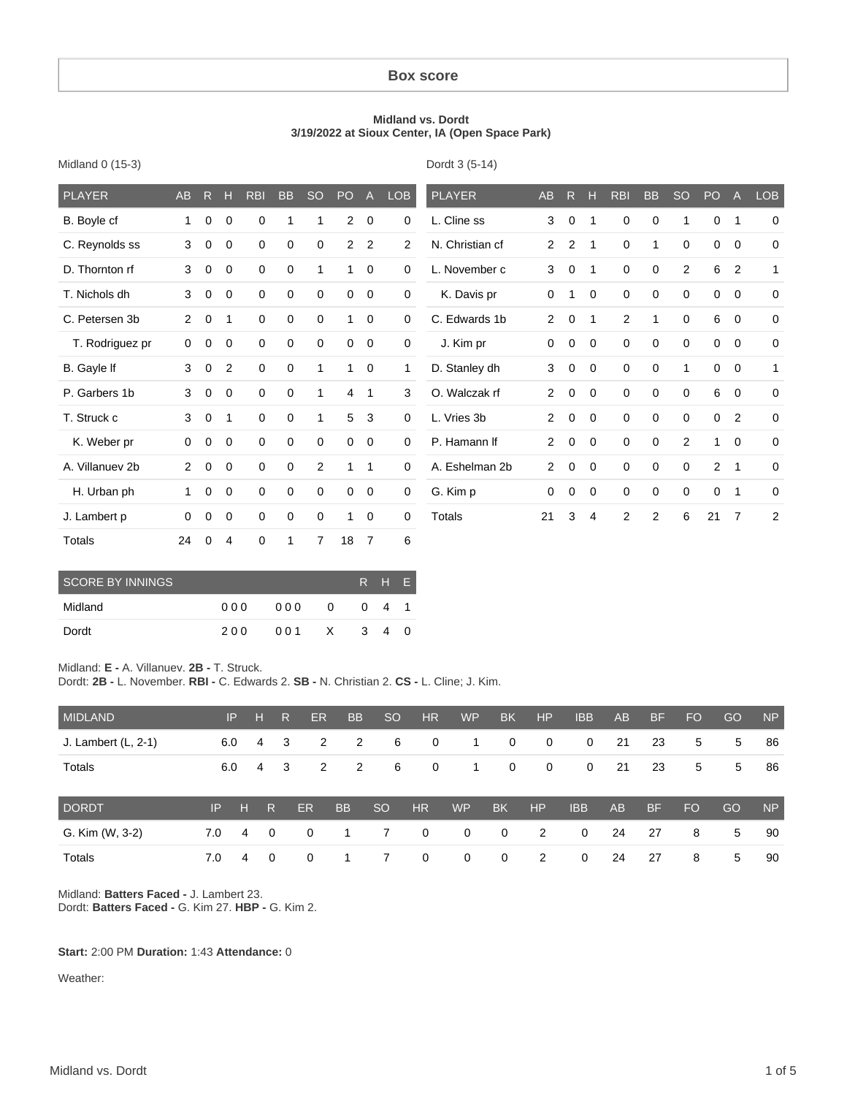#### **Box score**

#### **Midland vs. Dordt 3/19/2022 at Sioux Center, IA (Open Space Park)**

Dordt 3 (5-14)

| <b>PLAYER</b>   | AB             | R           | н           | <b>RBI</b>  | <b>BB</b>   | <b>SO</b>      | PO             | $\overline{A}$ | <b>LOB</b>  | <b>PLAYER</b>   | <b>AB</b>      | R           | H            | <b>RBI</b>  | <b>BB</b>      | <sub>SO</sub> | PO             | $\overline{A}$ | <b>LOB</b>     |
|-----------------|----------------|-------------|-------------|-------------|-------------|----------------|----------------|----------------|-------------|-----------------|----------------|-------------|--------------|-------------|----------------|---------------|----------------|----------------|----------------|
| B. Boyle cf     | 1              | 0           | $\mathbf 0$ | 0           | 1           | 1              | 2              | $\overline{0}$ | $\mathbf 0$ | L. Cline ss     | 3              | 0           | 1            | 0           | 0              | 1             | 0              | 1              | $\mathbf 0$    |
| C. Reynolds ss  | 3              | $\mathbf 0$ | $\mathbf 0$ | $\mathbf 0$ | 0           | 0              | $\overline{2}$ | $\overline{2}$ | 2           | N. Christian cf | $\overline{2}$ | 2           | $\mathbf{1}$ | $\mathbf 0$ | 1              | $\mathbf 0$   | $\mathbf 0$    | $\mathbf 0$    | 0              |
| D. Thornton rf  | 3              | 0           | $\mathbf 0$ | $\mathbf 0$ | 0           | 1              | 1              | $\mathbf 0$    | $\mathbf 0$ | L. November c   | 3              | $\mathbf 0$ | 1            | $\mathbf 0$ | 0              | 2             | 6              | 2              | 1              |
| T. Nichols dh   | 3              | $\mathbf 0$ | $\mathbf 0$ | $\mathbf 0$ | 0           | $\mathbf 0$    | $\mathbf 0$    | $\overline{0}$ | $\mathbf 0$ | K. Davis pr     | 0              | 1           | $\mathbf 0$  | $\mathbf 0$ | $\mathbf 0$    | $\mathbf 0$   | $\mathbf 0$    | $\mathbf 0$    | 0              |
| C. Petersen 3b  | $\overline{2}$ | 0           | -1          | $\mathbf 0$ | 0           | $\mathbf 0$    | 1              | $\overline{0}$ | $\mathbf 0$ | C. Edwards 1b   | $\overline{2}$ | $\mathbf 0$ | 1            | 2           | 1              | $\mathbf 0$   | 6              | $\mathbf 0$    | 0              |
| T. Rodriguez pr | 0              | 0           | $\mathbf 0$ | 0           | 0           | $\mathbf 0$    | 0              | $\overline{0}$ | $\mathbf 0$ | J. Kim pr       | 0              | 0           | 0            | 0           | 0              | $\mathbf 0$   | 0              | 0              | $\mathbf 0$    |
| B. Gayle If     | 3              | 0           | 2           | $\mathbf 0$ | 0           | 1              | 1              | $\overline{0}$ | 1           | D. Stanley dh   | 3              | 0           | $\mathbf 0$  | $\mathbf 0$ | $\mathbf 0$    | 1             | 0              | $\mathbf 0$    | 1              |
| P. Garbers 1b   | 3              | 0           | $\mathbf 0$ | 0           | 0           | 1              | $\overline{4}$ | 1              | 3           | O. Walczak rf   | $\overline{2}$ | 0           | 0            | $\Omega$    | 0              | $\mathbf 0$   | 6              | $\mathbf 0$    | $\mathbf 0$    |
| T. Struck c     | 3              | 0           | -1          | 0           | 0           | 1              | 5              | 3              | $\mathbf 0$ | L. Vries 3b     | $\overline{2}$ | 0           | $\mathbf 0$  | $\Omega$    | $\mathbf 0$    | $\mathbf 0$   | $\mathbf 0$    | 2              | 0              |
| K. Weber pr     | $\mathbf 0$    | 0           | $\mathbf 0$ | $\mathbf 0$ | 0           | $\mathbf 0$    | 0              | $\mathbf 0$    | $\mathbf 0$ | P. Hamann If    | $\overline{2}$ | $\mathbf 0$ | $\mathbf 0$  | 0           | 0              | 2             | $\mathbf{1}$   | $\mathbf 0$    | $\mathbf 0$    |
| A. Villanuev 2b | $\overline{2}$ | $\mathbf 0$ | $\Omega$    | 0           | 0           | 2              | 1              | 1              | $\mathbf 0$ | A. Eshelman 2b  | 2              | $\mathbf 0$ | $\mathbf 0$  | 0           | $\mathbf 0$    | $\mathbf 0$   | $\overline{2}$ | $\mathbf{1}$   | 0              |
| H. Urban ph     | 1              | 0           | $\mathbf 0$ | $\mathbf 0$ | 0           | $\mathbf 0$    | 0              | $\overline{0}$ | $\mathbf 0$ | G. Kim p        | 0              | $\mathbf 0$ | 0            | $\mathbf 0$ | 0              | $\mathbf 0$   | 0              | 1              | 0              |
| J. Lambert p    | 0              | 0           | $\mathbf 0$ | 0           | 0           | $\mathbf 0$    | 1              | $\overline{0}$ | $\mathbf 0$ | <b>Totals</b>   | 21             | 3           | 4            | 2           | $\overline{2}$ | 6             | 21             | $\overline{7}$ | $\overline{2}$ |
| Totals          | 24             | 0           | 4           | 0           | $\mathbf 1$ | $\overline{7}$ | 18             | $\overline{7}$ | 6           |                 |                |             |              |             |                |               |                |                |                |

| <b>SCORE BY INNINGS</b> |      |     |              |               | R H E          |   |
|-------------------------|------|-----|--------------|---------------|----------------|---|
| Midland                 | 00 Q | 000 | <sup>0</sup> | <u>n</u>      | 4              |   |
| Dordt                   | 200  | 001 | X            | $\mathcal{S}$ | $\overline{4}$ | 0 |

#### Midland: **E -** A. Villanuev. **2B -** T. Struck.

Midland 0 (15-3)

Dordt: **2B -** L. November. **RBI -** C. Edwards 2. **SB -** N. Christian 2. **CS -** L. Cline; J. Kim.

| <b>MIDLAND</b>        |     | IP | ÆT                      | $\mathsf{R}$ | ER.       | <b>BB</b> | <sub>SO</sub>  | <b>HR</b>    | <b>WP</b>   | <b>BK</b>      | <b>HP</b>            | <b>IBB</b>   | <b>AB</b> | <b>BF</b> | <b>FO</b> | GO | <b>NP</b> |
|-----------------------|-----|----|-------------------------|--------------|-----------|-----------|----------------|--------------|-------------|----------------|----------------------|--------------|-----------|-----------|-----------|----|-----------|
| J. Lambert $(L, 2-1)$ | 6.0 |    | 4                       | -3           | 2         | 2         | 6              | $\mathbf{0}$ | 1           | $\mathbf 0$    | $\mathbf{0}$         | $\mathbf 0$  | 21        | 23        | 5         | 5  | 86        |
| <b>Totals</b>         | 6.0 |    | 4                       | -3           | 2         | 2         | 6              | $\mathbf 0$  | 1.          | $\mathbf 0$    | $\mathbf{0}$         | $\mathbf{0}$ | 21        | 23        | 5         | 5  | 86        |
| <b>DORDT</b>          | IP  | н  | R                       |              | <b>ER</b> | <b>BB</b> | <sub>SO</sub>  | <b>HR</b>    | <b>WP</b>   | <b>BK</b>      | H <sub>P</sub>       | <b>IBB</b>   | AB        | <b>BF</b> | <b>FO</b> | GO | <b>NP</b> |
| G. Kim (W, 3-2)       | 7.0 | 4  | $\overline{\mathbf{0}}$ |              | 0         | 1         | $\overline{7}$ | $\mathbf 0$  | $\mathbf 0$ | $\overline{0}$ | $\mathbf{2}^{\circ}$ | $\mathbf 0$  | 24        | 27        | 8         | 5  | 90        |
| Totals                | 7.0 | 4  | $\overline{0}$          |              | 0         |           |                | $\Omega$     | 0           | $\mathbf{0}$   | 2                    | 0            | 24        | 27        | 8         | 5  | 90        |

Midland: **Batters Faced -** J. Lambert 23. Dordt: **Batters Faced -** G. Kim 27. **HBP -** G. Kim 2.

#### **Start:** 2:00 PM **Duration:** 1:43 **Attendance:** 0

Weather: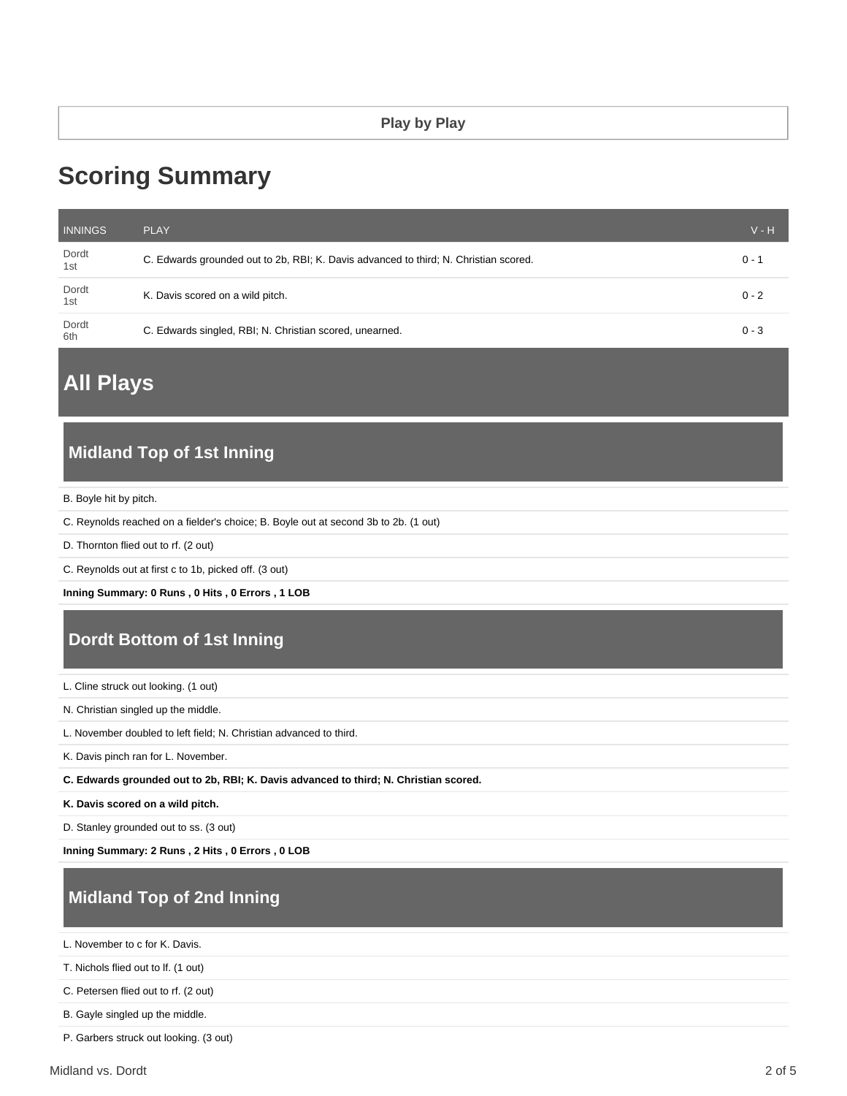# **Scoring Summary**

| <b>INNINGS</b> | <b>PLAY</b>                                                                          | $V - H$ |
|----------------|--------------------------------------------------------------------------------------|---------|
| Dordt<br>1st   | C. Edwards grounded out to 2b, RBI; K. Davis advanced to third; N. Christian scored. | $0 - 1$ |
| Dordt<br>1st   | K. Davis scored on a wild pitch.                                                     | $0 - 2$ |
| Dordt<br>6th   | C. Edwards singled, RBI; N. Christian scored, unearned.                              | $0 - 3$ |

**All Plays**

# **Midland Top of 1st Inning**

B. Boyle hit by pitch.

- C. Reynolds reached on a fielder's choice; B. Boyle out at second 3b to 2b. (1 out)
- D. Thornton flied out to rf. (2 out)
- C. Reynolds out at first c to 1b, picked off. (3 out)

**Inning Summary: 0 Runs , 0 Hits , 0 Errors , 1 LOB**

# **Dordt Bottom of 1st Inning**

L. Cline struck out looking. (1 out)

N. Christian singled up the middle.

L. November doubled to left field; N. Christian advanced to third.

K. Davis pinch ran for L. November.

**C. Edwards grounded out to 2b, RBI; K. Davis advanced to third; N. Christian scored.**

**K. Davis scored on a wild pitch.**

D. Stanley grounded out to ss. (3 out)

**Inning Summary: 2 Runs , 2 Hits , 0 Errors , 0 LOB**

# **Midland Top of 2nd Inning**

L. November to c for K. Davis.

T. Nichols flied out to lf. (1 out)

C. Petersen flied out to rf. (2 out)

B. Gayle singled up the middle.

P. Garbers struck out looking. (3 out)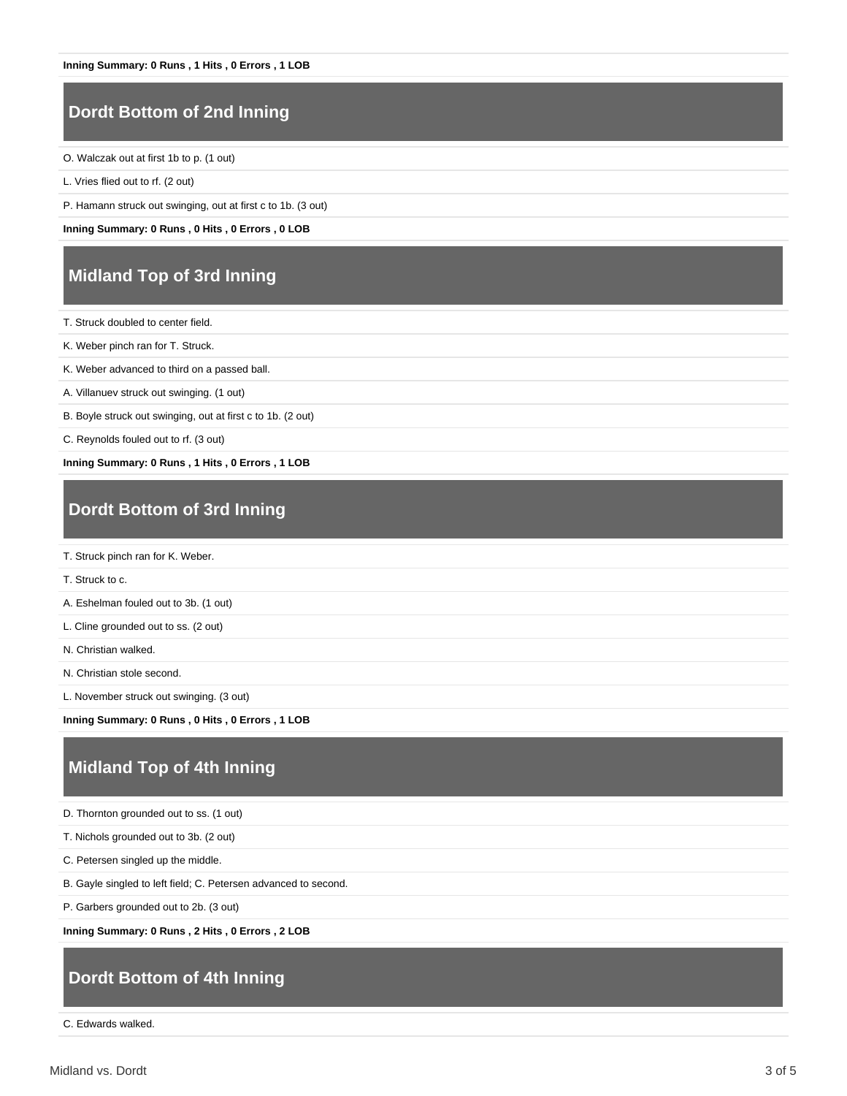## **Dordt Bottom of 2nd Inning**

O. Walczak out at first 1b to p. (1 out)

L. Vries flied out to rf. (2 out)

P. Hamann struck out swinging, out at first c to 1b. (3 out)

**Inning Summary: 0 Runs , 0 Hits , 0 Errors , 0 LOB**

#### **Midland Top of 3rd Inning**

T. Struck doubled to center field.

K. Weber pinch ran for T. Struck.

K. Weber advanced to third on a passed ball.

A. Villanuev struck out swinging. (1 out)

B. Boyle struck out swinging, out at first c to 1b. (2 out)

C. Reynolds fouled out to rf. (3 out)

**Inning Summary: 0 Runs , 1 Hits , 0 Errors , 1 LOB**

#### **Dordt Bottom of 3rd Inning**

T. Struck to c.

A. Eshelman fouled out to 3b. (1 out)

L. Cline grounded out to ss. (2 out)

N. Christian walked.

N. Christian stole second.

L. November struck out swinging. (3 out)

**Inning Summary: 0 Runs , 0 Hits , 0 Errors , 1 LOB**

#### **Midland Top of 4th Inning**

D. Thornton grounded out to ss. (1 out)

T. Nichols grounded out to 3b. (2 out)

C. Petersen singled up the middle.

B. Gayle singled to left field; C. Petersen advanced to second.

P. Garbers grounded out to 2b. (3 out)

**Inning Summary: 0 Runs , 2 Hits , 0 Errors , 2 LOB**

## **Dordt Bottom of 4th Inning**

C. Edwards walked.

T. Struck pinch ran for K. Weber.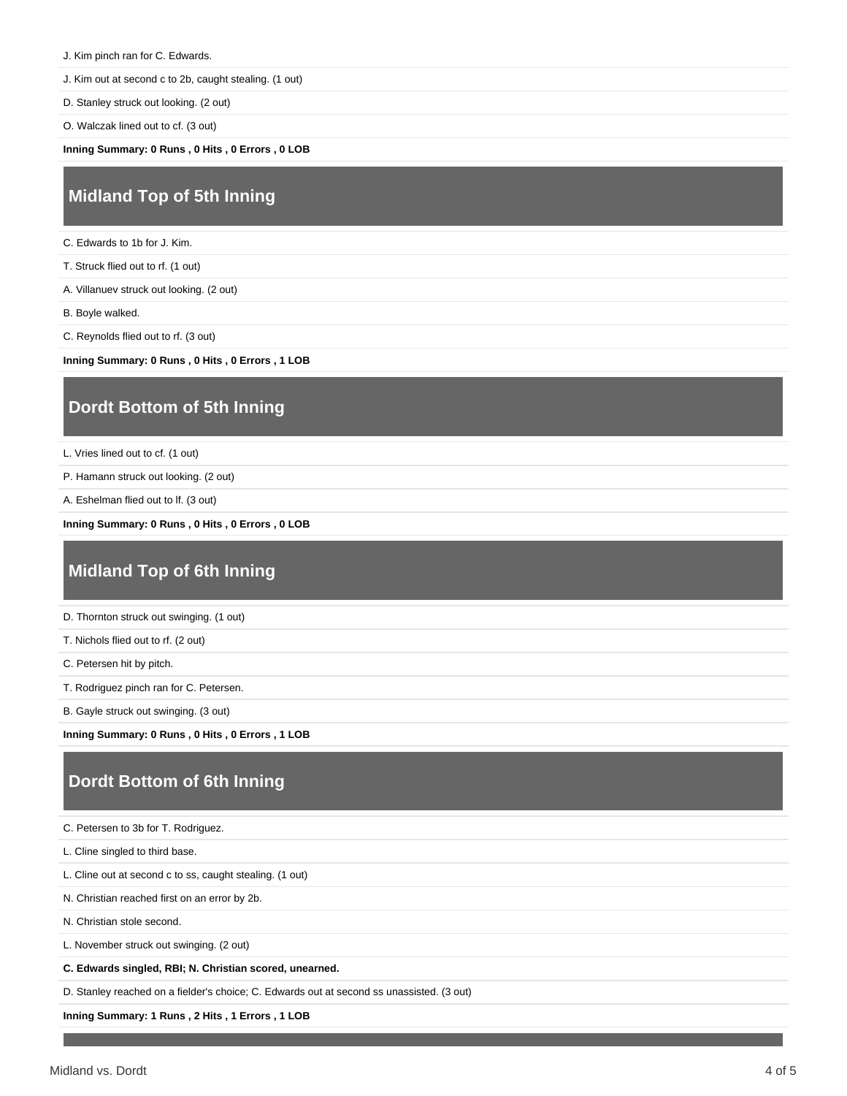- J. Kim pinch ran for C. Edwards.
- J. Kim out at second c to 2b, caught stealing. (1 out)
- D. Stanley struck out looking. (2 out)
- O. Walczak lined out to cf. (3 out)

**Inning Summary: 0 Runs , 0 Hits , 0 Errors , 0 LOB**

#### **Midland Top of 5th Inning**

- C. Edwards to 1b for J. Kim.
- T. Struck flied out to rf. (1 out)
- A. Villanuev struck out looking. (2 out)
- B. Boyle walked.
- C. Reynolds flied out to rf. (3 out)

**Inning Summary: 0 Runs , 0 Hits , 0 Errors , 1 LOB**

## **Dordt Bottom of 5th Inning**

- L. Vries lined out to cf. (1 out)
- P. Hamann struck out looking. (2 out)
- A. Eshelman flied out to lf. (3 out)

**Inning Summary: 0 Runs , 0 Hits , 0 Errors , 0 LOB**

#### **Midland Top of 6th Inning**

- D. Thornton struck out swinging. (1 out)
- T. Nichols flied out to rf. (2 out)
- C. Petersen hit by pitch.
- T. Rodriguez pinch ran for C. Petersen.
- B. Gayle struck out swinging. (3 out)

**Inning Summary: 0 Runs , 0 Hits , 0 Errors , 1 LOB**

## **Dordt Bottom of 6th Inning**

|  |  |  |  |  |  | C. Petersen to 3b for T. Rodriguez. |
|--|--|--|--|--|--|-------------------------------------|
|--|--|--|--|--|--|-------------------------------------|

- L. Cline singled to third base.
- L. Cline out at second c to ss, caught stealing. (1 out)
- N. Christian reached first on an error by 2b.
- N. Christian stole second.

L. November struck out swinging. (2 out)

**C. Edwards singled, RBI; N. Christian scored, unearned.**

D. Stanley reached on a fielder's choice; C. Edwards out at second ss unassisted. (3 out)

**Inning Summary: 1 Runs , 2 Hits , 1 Errors , 1 LOB**